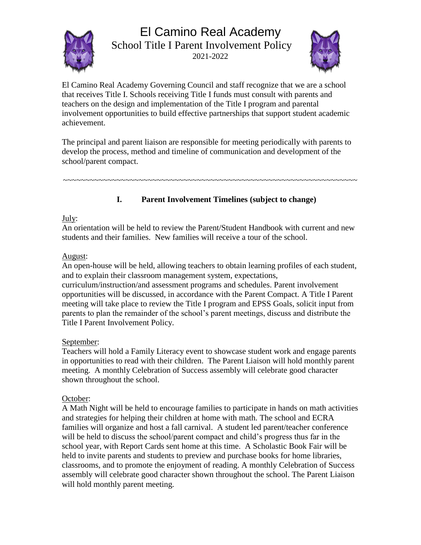# El Camino Real Academy



School Title I Parent Involvement Policy 2021-2022



El Camino Real Academy Governing Council and staff recognize that we are a school that receives Title I. Schools receiving Title I funds must consult with parents and teachers on the design and implementation of the Title I program and parental involvement opportunities to build effective partnerships that support student academic achievement.

The principal and parent liaison are responsible for meeting periodically with parents to develop the process, method and timeline of communication and development of the school/parent compact.

~~~~~~~~~~~~~~~~~~~~~~~~~~~~~~~~~~~~~~~~~~~~~~~~~~~~~~~~~~~~~~~~~~

# **I. Parent Involvement Timelines (subject to change)**

# July:

An orientation will be held to review the Parent/Student Handbook with current and new students and their families. New families will receive a tour of the school.

# August:

An open-house will be held, allowing teachers to obtain learning profiles of each student, and to explain their classroom management system, expectations,

curriculum/instruction/and assessment programs and schedules. Parent involvement opportunities will be discussed, in accordance with the Parent Compact. A Title I Parent meeting will take place to review the Title I program and EPSS Goals, solicit input from parents to plan the remainder of the school's parent meetings, discuss and distribute the Title I Parent Involvement Policy.

# September:

Teachers will hold a Family Literacy event to showcase student work and engage parents in opportunities to read with their children. The Parent Liaison will hold monthly parent meeting. A monthly Celebration of Success assembly will celebrate good character shown throughout the school.

# October:

A Math Night will be held to encourage families to participate in hands on math activities and strategies for helping their children at home with math. The school and ECRA families will organize and host a fall carnival. A student led parent/teacher conference will be held to discuss the school/parent compact and child's progress thus far in the school year, with Report Cards sent home at this time. A Scholastic Book Fair will be held to invite parents and students to preview and purchase books for home libraries, classrooms, and to promote the enjoyment of reading. A monthly Celebration of Success assembly will celebrate good character shown throughout the school. The Parent Liaison will hold monthly parent meeting.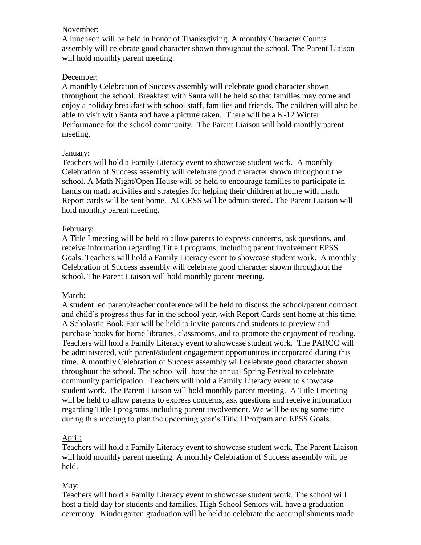#### November:

A luncheon will be held in honor of Thanksgiving. A monthly Character Counts assembly will celebrate good character shown throughout the school. The Parent Liaison will hold monthly parent meeting.

# December:

A monthly Celebration of Success assembly will celebrate good character shown throughout the school. Breakfast with Santa will be held so that families may come and enjoy a holiday breakfast with school staff, families and friends. The children will also be able to visit with Santa and have a picture taken. There will be a K-12 Winter Performance for the school community. The Parent Liaison will hold monthly parent meeting.

#### January:

Teachers will hold a Family Literacy event to showcase student work. A monthly Celebration of Success assembly will celebrate good character shown throughout the school. A Math Night/Open House will be held to encourage families to participate in hands on math activities and strategies for helping their children at home with math. Report cards will be sent home. ACCESS will be administered. The Parent Liaison will hold monthly parent meeting.

#### February:

A Title I meeting will be held to allow parents to express concerns, ask questions, and receive information regarding Title I programs, including parent involvement EPSS Goals. Teachers will hold a Family Literacy event to showcase student work. A monthly Celebration of Success assembly will celebrate good character shown throughout the school. The Parent Liaison will hold monthly parent meeting.

# March:

A student led parent/teacher conference will be held to discuss the school/parent compact and child's progress thus far in the school year, with Report Cards sent home at this time. A Scholastic Book Fair will be held to invite parents and students to preview and purchase books for home libraries, classrooms, and to promote the enjoyment of reading. Teachers will hold a Family Literacy event to showcase student work. The PARCC will be administered, with parent/student engagement opportunities incorporated during this time. A monthly Celebration of Success assembly will celebrate good character shown throughout the school. The school will host the annual Spring Festival to celebrate community participation. Teachers will hold a Family Literacy event to showcase student work. The Parent Liaison will hold monthly parent meeting. A Title I meeting will be held to allow parents to express concerns, ask questions and receive information regarding Title I programs including parent involvement. We will be using some time during this meeting to plan the upcoming year's Title I Program and EPSS Goals.

# April:

Teachers will hold a Family Literacy event to showcase student work. The Parent Liaison will hold monthly parent meeting. A monthly Celebration of Success assembly will be held.

# May:

Teachers will hold a Family Literacy event to showcase student work. The school will host a field day for students and families. High School Seniors will have a graduation ceremony. Kindergarten graduation will be held to celebrate the accomplishments made